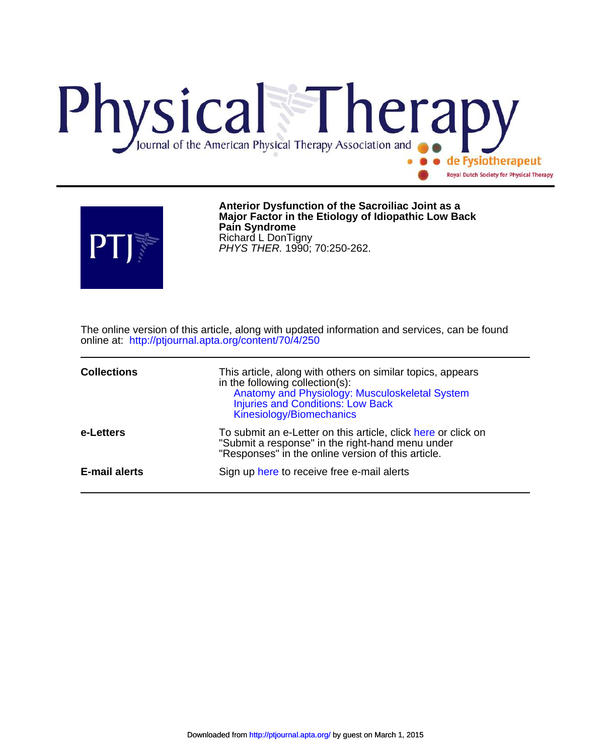



PHYS THER. 1990; 70:250-262. Richard L DonTigny **Pain Syndrome Major Factor in the Etiology of Idiopathic Low Back Anterior Dysfunction of the Sacroiliac Joint as a**

online at: <http://ptjournal.apta.org/content/70/4/250> The online version of this article, along with updated information and services, can be found

| <b>Collections</b>   | This article, along with others on similar topics, appears<br>in the following collection(s):<br>Anatomy and Physiology: Musculoskeletal System<br><b>Injuries and Conditions: Low Back</b><br>Kinesiology/Biomechanics |
|----------------------|-------------------------------------------------------------------------------------------------------------------------------------------------------------------------------------------------------------------------|
| e-Letters            | To submit an e-Letter on this article, click here or click on<br>"Submit a response" in the right-hand menu under<br>"Responses" in the online version of this article.                                                 |
| <b>E-mail alerts</b> | Sign up here to receive free e-mail alerts                                                                                                                                                                              |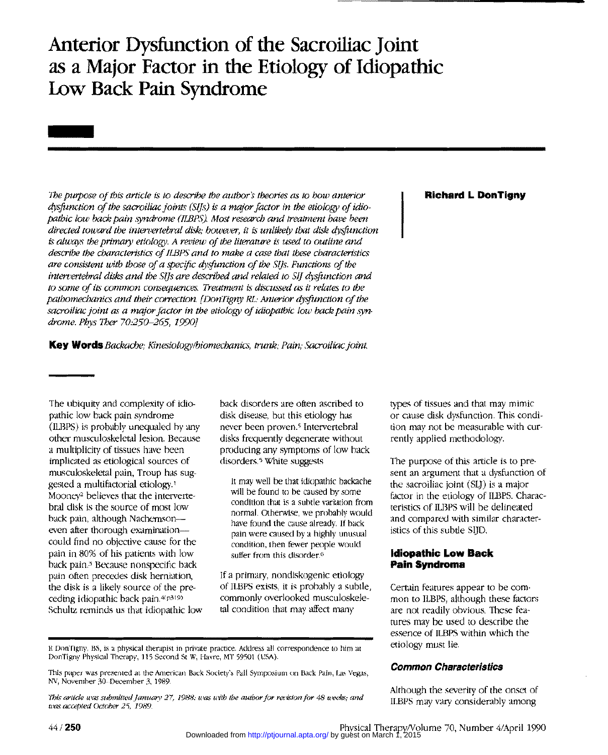# Anterior Dysfunction of the Sacroiliac Joint as a Major Factor in the Etiology of Idiopathic Low Back Pain Syndrome

*7he purpose of this article is to describe the author's theories as to how anterior dysfinction of the sacroiliac joints (SIJs) is a mujor factor in the etiology of idio*pathic low back pain syndrome (ILBPS). Most research and treatment bave been *directed toward the intervertebral disk.; however, it is unlikely that disk. dysfunction is always the primary etiology. A review of the literature* b *used to outline and describe the characteristics of ILBPS and to make a cue that these characteristics are consistent with those of a specific dysfunction of the SIJs. Functions of the* intervertebral disks and the SIIs are described and related to SIJ dysfunction and to some of its common consequences. Treatment is discussed as it relates to the *pathomechanics and their cmrection. [DonTigny RL: Anterior dysfunction of the sacroiliac joint* **as** *a major factor in the etiology of idiopathic low back pain* syn*drome. Phys* Ther 703250-265, *19W/* 

## **Richard L DonTigny**

**Key Words** *Backache; Kinesiologv/biomechanics,* trunk; *Pain; Sacroiliuc joint.* 

The ubiquity and complexity of idiopathic low back pain syndrome (ILBPS) is probably unequaled by any other musculoskeletal lesion. Because a multiplicity of tissues have been implicated as etiological sources of musculoskeletal pain, Troup has suggested a multifactorial etiology.' Mooney<sup>2</sup> believes that the intervertebra1 disk is the source of most low back pain, although Nachemsoneven after thorough examinationcould find no objective cause for the pain in 80% of his patients with low back pain.3 Because nonspecific back pain often precedes disk herniation, the disk is a likely source of the preceding idiopathic back pain. \* p319) Schultz reminds us that idiopathic low back disorders are often ascribed to disk disease, but this etiology has never been proven.5 Intervertebral disks frequently degenerate without producing any symptoms of low back disorders.5 White suggests

It may well be that idiopathic backache will be found to be caused by some condition that is a subtle variation from normal. Otherwise, we probably would have found the cause already. If back pain were caused by a highly unusual condition, then fewer people would suffer from this disorder.<sup>6</sup>

If a primary, nondiskogenic etiology of ILBPS exists, it is probably a subtle, commonly overlooked musculoskeletal condition that may affect many

**K** DonTigny, BS, is a physical therapist in private practice. Address all correspondence to him at DonTigny Physical Therapy, 115 Second St W, Havre, MT 59501 **(USA).** 

This paper was presented at the American Back Society's Fall Symposium on Back Pain, **Las** Vegas, Mi, Noveniher 3C-December 3, 1989.

*This artick ulas subrnitted.[anuaty 27,* 1988; *ulas ulith the author for ralbion for 48 uleeks; and ulav uccepted October 2 5, 1989.* 

types of tissues and that may mimic or cause disk dysfunction. This condition may not be measurable with currently applied methodology.

The purpose of this article is to present an argument that a dysfunction of the sacroiliac joint (SLJ) is a major factor in the etiology of ILBPS. Characteristics of ILBPS will be delineated and compared with similar characteristics of this subtle SIJD.

#### **Idiopathic Low Back Pain Syndrome**

Certain features appear to be common to ILBPS, although these factors are not readily obvious. These features may be used to describe the essence of ILBPS within which the etiology must lie.

#### **Common Characteristics**

Although the severity of the onset of ILBPS may vary considerably among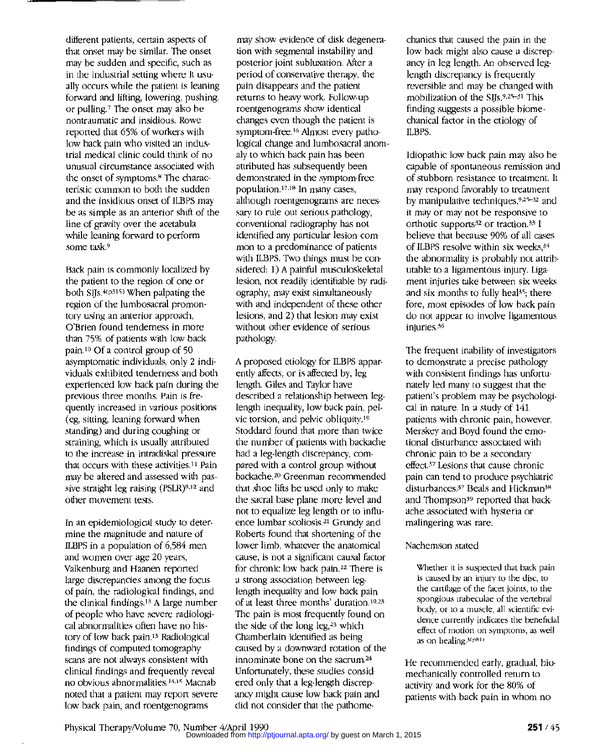different patients, certain aspects of that onset may be similar. The onset may be sudden and specific, such as in the industrial setting where it usually occurs while the patient is leaning forward and lifting, lowering, pushing, or pulling.7 The onset may also be nontraumatic and insidious. Rowe reported that 65% of workers with low back pain who visited an industrial medical clinic could think of no unusual circumstance associated with the onset of symptoms.<sup>8</sup> The characteristic common to both the sudden and the insidious onset of ILBPS may be as simple as an anterior shift of the line of gravity over the acetabula while leaning forward to perform some task.9

Back pain is commonly localized by the patient to the region of one or both SIJs. $4(p315)$  When palpating the region of the lumbosacral promontory using an anterior approach, O'Brien found tenderness in more than 75% of patients with low back pain.I0 Of a control group of 50 asymptomatic individuals, only 2 individuals exhibited tenderness and both experienced low back pain during the previous three months. Pain is frequently increased in various positions (eg, sitting, leaning forward when standing) and during coughing or straining, which is usually attributed to the increase in intradiskal pressure that occurs with these activities.<sup>11</sup> Pain may be altered and assessed with passive straight leg raising  $(PSLR)^{9,12}$  and other movement tests.

In an epidemiological study to determine the magnitude and nature of LBPS in a population of 6,584 men and women over age 20 years, Valkenburg and Haanen reported large discrepancies among the focus of pain, the radiological findings, and the clinical findings.13 A large number of people who have severe radiological abnormalities often have no history of low back pain.13 Radiological findings of computed tomography scans are not always consistent with clinical findings and frequently reveal no obvious abnormalities.<sup>14,15</sup> Macnab noted that a patient may report severe low back pain, and roentgenograms

may show evidence of disk degeneration with segmental instability and posterior joint subluxation. After a period of conservative therapy, the pain disappears and the patient returns to heavy work. Follow-up roentgenograms show identical changes even though the patient is symptom-free.<sup>16</sup> Almost every pathological change and lumbosacral anomaly to which back pain has been attributed has subsequently been demonstrated in the symptom-free population.<sup>17,18</sup> In many cases, although roentgenograms are necessary to rule out serious pathology, conventional radiography has not identified any particular lesion common to a predominance of patients with ILBPS. Two things must be considered: 1) A painful musculoskeletal lesion, not readily identifiable by radiography, may exist simultaneously with and independent of these other lesions, and 2) that lesion may exist without other evidence of serious pathology.

A proposed etiology for ILBPS apparently affects, or is affected by, leg length. Giles and Taylor have described a relationship between leglength inequality, low back pain, pelvic torsion, and pelvic obliquity.19 Stoddard found that more than twice the number of patients with backache had a leg-length discrepancy, compared with a control group without backache.20 Greenman recommended that shoe lifts be used only to make the sacral base plane more level and not to equalize leg length or to influence lumbar scoliosis.21 Grundy and Roberts found that shortening of the lower limb, whatever the anatomical cause, is not a significant causal factor for chronic low back pain.<sup>22</sup> There is a strong association between leglength inequality and low back pain of at least three months' duration.19.23 The pain is most frequently found on the side of the long leg, $23$  which Chamberlain identified as being caused by a downward rotation of the innominate bone on the sacrum.24 Unfortunately, these studies considered only that a leg-length discrepancy might cause low back pain and did not consider that the pathomechanics that caused the pain in the low back might also cause a discrepancy in leg length. An observed leglength discrepancy is frequently reversible and may be changed with mobilization of the SIJs.9.25-31 This finding suggests a possible biomechanical factor in the etiology of ILBPS.

Idiopathic low back pain may also be capable of spontaneous remission and of stubborn resistance to treatment. It may respond favorably to treatment by manipulative techniques,<sup>9,25-32</sup> and it may or may not be responsive to orthotic supports<sup>32</sup> or traction.<sup>33</sup> I believe that because 90% of all cases of ILBPS resolve within six weeks,<sup>34</sup> the abnormality is probably not attributable to a ligamentous injury. Ligament injuries take between six weeks and six months to fully heal<sup>35</sup>; therefore, most episodes of low back pain do not appear to involve ligamentous injuries.<sup>36</sup>

The frequent inability of investigators to demonstrate a precise pathology with consistent findings has unfortunately led many to suggest that the patient's problem may be psychological in nature. In a study of 141 patients with chronic pain, however, Merskey and Boyd found the emotional disturbance associated with chronic pain to be a secondary effect.<sup>37</sup> Lesions that cause chronic pain can tend to produce psychiatric disturbances.<sup>37</sup> Beals and Hickman<sup>38</sup> and Thompson<sup>39</sup> reported that backache associated with hysteria or malingering was rare.

# Nachemson stated

Whether it is suspected that back pain is caused by an injury to the disc, to the cartilage of the facet joints, to the spongious trabeculae of the vertebral body, or to a muscle, all scientific evidence currently indicates the beneficial effect of motion on symptoms, as well as on healing.<sup>3(p81)</sup>

He recommended early, gradual, biomechanically controlled return to activity and work for the 80% of patients with back pain in whom no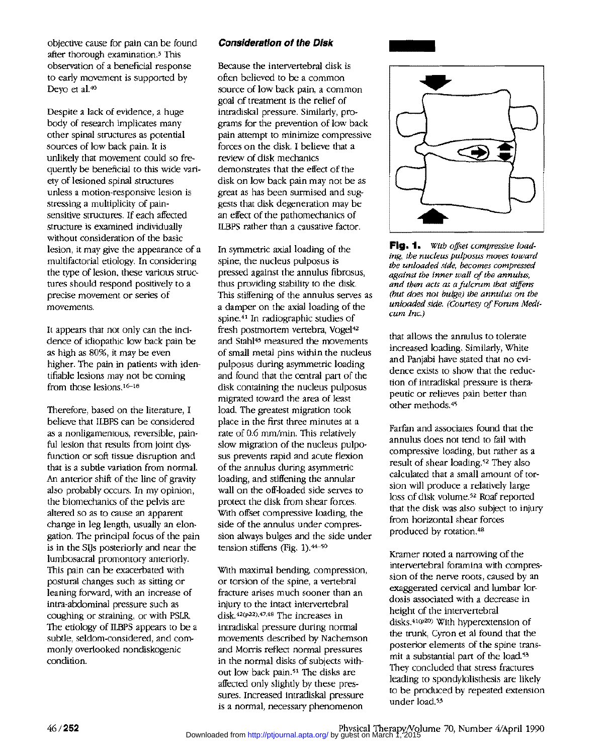objective cause for pain can be found after thorough examination.3 This observation of a beneficial response to early movement is supported by Devo et al.<sup>40</sup>

Despite a lack of evidence, a huge body of research implicates many other spinal structures as potential sources of low back pain. It is unlikely that movement could so frequently be beneficial to this wide variety of lesioned spinal structures unless a motion-responsive lesion is stressing a multiplicity of painsensitive structures. If each affected structure is examined individually without consideration of the basic lesion, it may give the appearance of a multifactorial etiology. In considering the type of lesion, these various structures should respond positively to a precise movement or series of movements.

It appears that not only can the incidence of idiopathic low back pain be as high as 80%, it may be even higher. The pain in patients with identifiable lesions may not be coming from those lesions. $16-18$ 

Therefore, based on the literature, I believe that ILBPS can be considered as a nonligamentous, reversible, painful lesion that results from joint dysfunction or soft tissue disruption and that is a subtle variation from normal. An anterior shift of the line of gravity also probably occurs. In my opinion, the biomechanics of the pelvis are altered so as to cause an apparent change in leg length, usually an elongation. The principal focus of the pain is in the SIJs posteriorly and near the lumbosacral promontory anteriorly. This pain can be exacerbated with postural changes such as sitting or leaning forward, with an increase of intra-abdominal pressure such as coughing or straining, or with PSLR. The etiology of ILBPS appears to be a subtle, seldom-considered, and commonly overlooked nondiskogenic condition.

# **Consideration of the Disk**

Because the intervertebral disk is often believed to be a common source of low back pain, a common goal of treatment is the relief of intradiskal pressure. Similarly, programs for the prevention of low back pain attempt to minimize compressive forces on the disk. I believe that a review of disk mechanics demonstrates that the effect of the disk on low back pain may not be as great as has been surmised and suggests that disk degeneration may be an effect of the pathomechanics of ILBPS rather than a causative factor.

In symmetric axial loading of the spine, the nucleus pulposus is pressed against the annulus fibrosus, thus providing stability to the disk. This stiffening of the annulus serves as a damper on the axial loading of the spine.41 In radiographic studies of fresh postmortem vertebra, Voge142 and Stah143 measured the movements of small metal pins within the nucleus pulposus during asymmetric loading and found that the central part of the disk containing the nucleus pulposus migrated toward the area of least load. The greatest migration took place in the first three minutes at a rate of 0.6 mm/min. This relatively slow migration of the nucleus pulposus prevents rapid and acute flexion of the annulus during asymmetric loading, and stiffening the annular wall on the off-loaded side serves to protect the disk from shear forces. With offset compressive loading, the side of the annulus under compression always bulges and the side under tension stiffens (Fig.  $1$ ). $44-50$ 

With maximal bending, compression, or torsion of the spine, a vertebral fracture arises much sooner than an injury to the intact intervertebral disk. $42(p22), 47, 48$  The increases in intradiskal pressure during normal movements described by Nachemson and Morris reflect normal pressures in the normal disks of subjects without low back pain.51 The disks are affected only slightly by these pressures. Increased intradiskal pressure is a normal, necessary phenomenon





**F1g. 1.** *With offset compressive loading, the nucleus pulposus moves toward the unloaded side, becomes compressed against the inner wall of the annulus, and then acts as a fulcrum that stzffens (but does not bulge) the annulus on the unloaded side. (Courtesy of Forum Medicum Inc.)* 

that allows the annulus to tolerate increased loading. Similarly, White and Panjabi have stated that no evidence exists to show that the reduction of intradiskal pressure is therapeutic or relieves pain better than other methods.45

Farfan and associates found that the annulus does not tend to fail with compressive loading, but rather as a result of shear loading.52 They also calculated that a small amount of torsion will produce a relatively large loss of disk volume.52 Roaf reported that the disk was also subject to injury from horizontal shear forces produced by rotation.<sup>48</sup>

Kramer noted a narrowing of the intervertebral foramina with compression of the nerve roots, caused by an exaggerated cervical and lumbar lordosis associated with a decrease in height of the intervertebral disks.<sup>41(p20)</sup> With hyperextension of the trunk, Cyron et a1 found that the posterior elements of the spine transmit a substantial part of the load.53 They concluded that stress fractures leading to spondylolisthesis are likely to be produced by repeated extension under load.53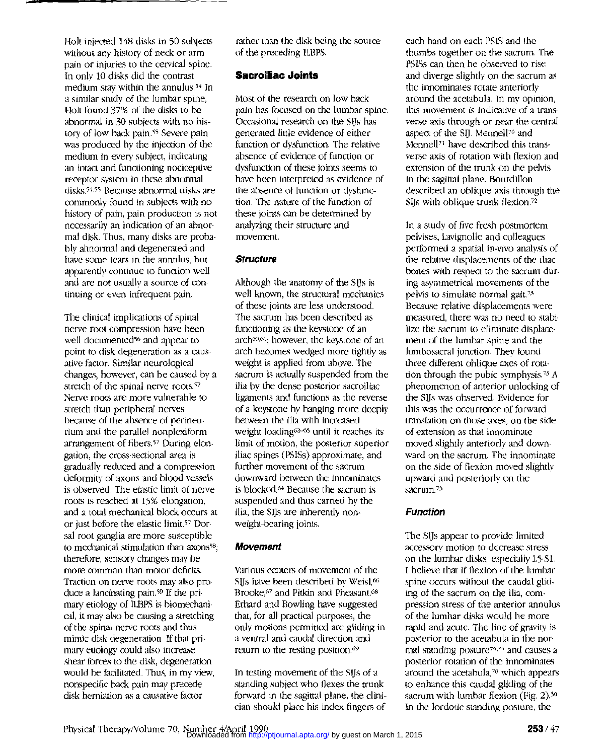Holt injected 148 disks in 50 subjects without any history of neck or arm pain or injuries to the cervical spine. In only 10 disks did the contrast medium stay within the annulus.54 In a similar study of the lumbar spine, Holt found 37% of the disks to be abnormal in 30 subjects with no history of low back pain.<sup>55</sup> Severe pain was produced by the injection of the medium in every subject, indicating an intact and functioning nociceptive receptor system in these abnormal disks.54.55 Because abnormal disks are commonly found in subjects with no history of pain, pain production is not necessarijy an indication of an abnormal disk. Thus, many disks are probably abnormal and degenerated and have some tears in the annulus, but apparently continue to function well and are not usually a source of continuing or even infrequent pain.

The clinical implications of spinal nerve root compression have been well documented<sup>56</sup> and appear to point to disk degeneration as a causative factor. Similar neurological changes, however, can be caused by a stretch of the spinal nerve roots.<sup>57</sup> Nerve roots are more vulnerable to stretch than peripheral nerves because of the absence of perineurium and the parallel nonplexiform arrangement of fibers.57 During elongation, the cross-sectional area is gradually reduced and a compression deformity of axons and blood vessels is observed. The elastic limit of nerve roots is reached at 15% elongation, and a total mechanical block occurs at or just before the elastic limit.57 Dorsal root ganglia are more susceptible to mechanical stimulation than axons<sup>58</sup>; therefore, sensory changes may be more common than motor deficits. Traction on nerve roots may also produce a lancinating pain.59 If the primary etiology of ILBPS is biomechanical, it may also be causing a stretching of the spinal nerve roots and thus mimic disk degeneration. If that primary etiology could also increase shear forces to the disk, degeneration would be facilitated. Thus, in my view, nonspecific back pain may precede disk herniation as a causative factor

rather than the disk being the source of the preceding ILBPS.

# **Sacroiliac Joints**

Most of the research on low back pain has focused on the lumbar spine. Occasional research on the SIJs has generated little evidence of either function or dysfunction. The relative absence of evidence of function or dysfunction of these joints seems to have been interpreted as evidence of the absence of function or dysfunction. The nature of the function of these joints can be determined by analyzing their structure and movement.

# **Structure**

Although the anatomy of the SlJs is well known, the structural mechanics of these joints are less understood. The sacrum has been described as functioning as the keystone of an arch60.61; however, the keystone of an arch becomes wedged more tightly as weight is applied from above. The sacrum is actually suspended from the ilia by the dense posterior sacroiliac ligaments and functions as the reverse of a keystone by hanging more deeply between the ilia with increased weight loading<sup>62-65</sup> until it reaches its limit of motion, the posterior superior iliac spines (PSISs) approximate, and further movement of the sacrum downward between the innominates is blocked.<sup>64</sup> Because the sacrum is suspended and thus carried by the ilia, the SIIs are inherently nonweight-bearing joints.

# **Movement**

Various centers of movement of the SIJs have been described by Weisl,<sup>66</sup> Brooke,<sup>67</sup> and Pitkin and Pheasant.<sup>68</sup> Erhard and Bowling have suggested that, for all practical purposes, the only motions permitted are gliding in a ventral and caudal direction and return to the resting position.<sup>69</sup>

In testing movement of the SIJs of a standing subject who flexes the trunk forward in the sagittal plane, the clinician should place his index fingers of

each hand on each PSIS and the thumbs together on the sacrum. The PSISs can then be observed to rise and diverge slightly on the sacrum as the innominates rotate anteriorly around the acetabula. In my opinion, this movement is indicative of a transverse axis through or near the central aspect of the SIL Mennell<sup>70</sup> and Mennell<sup>71</sup> have described this transverse axis of rotation with flexion and extension of the trunk on the pelvis in the sagittal plane. Bourdillon described an oblique axis through the SIJs with oblique trunk flexion.<sup>72</sup>

In a study of five fresh postmortem pelvises, Lavignolle and colleagues performed a spatial in-vivo analysis of the relative displacements of the iliac bones with respect to the sacrum during asymmetrical movements of the pelvis to simulate normal gait.<sup>73</sup> Because relative displacements were measured, there was no need to stabilize the sacrum to eliminate displacement of the lumbar spine and the lumbosacral junction. They found three different oblique axes of rotation through the pubic symphysis.'3 A phenomenon of anterior unlocking of the SIJs was observed. Evidence for this was the occurrence of forward translation on those axes, on the side of extension as that innominate moved slightly anteriorly and downward on the sacrum. The innominate on the side of flexion moved slightly upward and posteriorly on the sacrum.<sup>73</sup>

# **Function**

The SIJs appear to provide limited accessory motion to decrease stress on the lumbar disks, especially L5-S1. I believe that if flexion of the lumbar spine occurs without the caudal gliding of the sacrum on the ilia, compression stress of the anterior annulus of the lumbar disks would be more rapid and acute. The line of gravity is posterior to the acetabula in the normal standing posture<sup>74,75</sup> and causes a posterior rotation of the innominates around the acetabula,76 which appears to enhance this caudal gliding of the sacrum with lumbar flexion (Fig. 2).<sup>30</sup> In the lordotic standing posture, the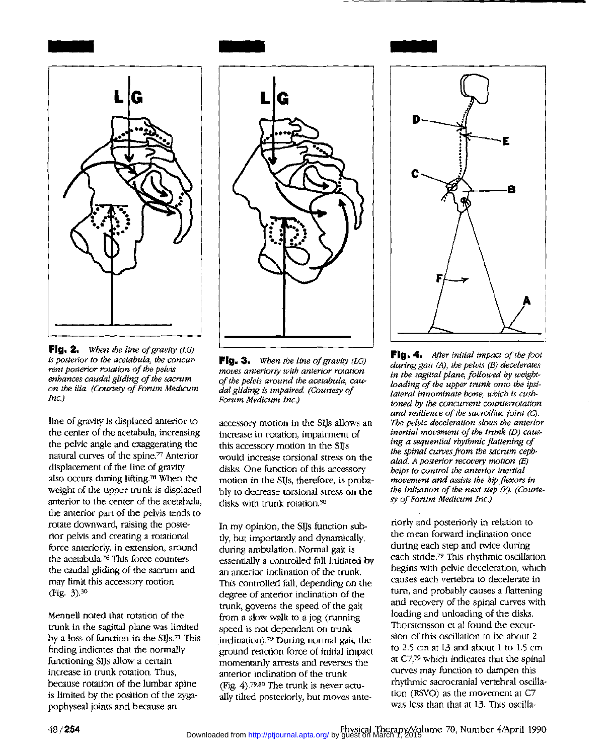

**Fig. 2.** *When the line of gravity (LG) is posterior to the acetabula, the concurrent posterior rotation of the pelvis enhances caudal gliding of the sacrum on the ilia. (Courtesy of Forum Medicum mc.*)

line of gravity is displaced anterior to the center of the acetabula, increasing the pelvic angle and exaggerating the natural curves of the spine.7 Anterior displacement of the line of gravity also occurs during lifting.78 When the weight of the upper trunk is displaced anterior to the center of the acetabula, the anterior part of the pelvis tends to rotate downward, raising the posterior pelvis and creating a rotational force anteriorly, in extension, around the acetabula.76 This force counters the caudal gliding of the sacrum and may limit this accessory motion (Fig. 3).3O

Mennell noted that rotation of the trunk in the sagittal plane was limited by a loss of function in the SIJs.71 This finding indicates that the normally functioning SIJs allow a certain increase in trunk rotation. Thus, because rotation of the lumbar spine is limited by the position of the zygapophyseal joints and because an



G

**Fig. 3.** *When the line of gravity (LG) moves anteriorly with anterior rotation of the pelvis around the acetabula, caudal gliding is impaired. (Courtesy of Forum Medicum Inc.)* 

accessory motion in the SIJs allows an increase in rotation, impairment of this accessory motion in the SIJs would increase torsional stress on the disks. One function of this accessory motion in the SIJs, therefore, is probably to decrease torsional stress on the disks with trunk rotation.<sup>30</sup>

In my opinion, the SIJs function subtly, but importantly and dynamically, during ambulation. Normal gait is essentially a controlled fall initiated by an anterior inclination of the trunk. This controlled fall, depending on the degree of anterior inclination of the trunk, governs the speed of the gait from a slow walk to a jog (running speed is not dependent on trunk inclination).79 During normal gait, the ground reaction force of initial impact momentarily arrests and reverses the anterior inclination of the trunk (Fig. 4).79,80 The trunk is never actually tilted posteriorly, but moves ante-



**Fig. 4.** After initial impact of the foot *during gait (A), the pelvis (B) decelerates in the sagittal plane, followed by weightloading of the upper trunk onto the ipsilateral innominate bone, which* **is** *cubioned by the concurrent countewotation and resilience of the sacroiliac joint (C). The pelvic deceleration slows the anterior inertial movement of the trunk (D) causing a sequential rhythmic flattening of*  the spinal curves from the sacrum ceph*alad. A posterior recovery motion (E) helps to control the anterior inertial movement and assists the hip flexors in the initiation of the next step (F). (Courtesy of Forum Medicum Inc.)* 

riorly and posteriorly in relation to the mean forward inclination once during each step and twice during each stride.79 This rhythmic oscillation begins with pelvic deceleration, which causes each vertebra to decelerate in turn, and probably causes a flattening and recovery of the spinal curves with loading and unloading of the disks. Thorstensson et a1 found the excursion of this oscillation to be about 2 to 2.5 cm at L3 and about 1 to 1.5 cm at C7,79 which indicates that the spinal curves may function to dampen this rhythmic sacrocranial vertebral oscillation (RSVO) as the movement at C7 was less than that at L3. This oscilla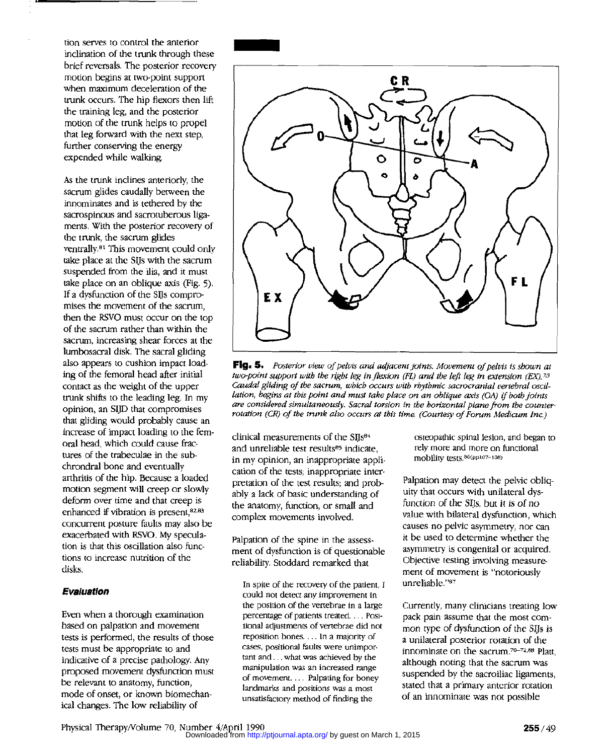tion serves to control the anterior inclination, of the trunk through these brief reversals. The posterior recovery motion begins at two-point support when maximum deceleration of the trunk occurs. The hip flexors then lift the training leg, and the posterior motion of the trunk helps to propel that leg forward with the next step, further conserving the energy expended while walking.

**As** the trunk inclines anteriorly, the sacrum glides caudally between the innominates and is tethered by the sacrospinous and sacrotuberous ligaments. With the posterior recovery of the trunk, the sacrum glides ventrally.8L This movement could only take place at the SIJs with the sacrum suspended from the ilia, and it must take place on an oblique axis (Fig. 5). If a dysfunction of the SIJs compromises the movement of the sacrum, then the RSVO must occur on the top of the sacrum rather than within the sacrum, increasing shear forces at the lumbosacral disk. The sacral gliding also appears to cushion impact loading of the femoral head after initial contact as the weight of the upper trunk shifts to the leading leg. In my opinion, an SIJD that compromises that gliding would probably cause an increase of impact loading to the femoral head, which could cause fractures of the trabeculae in the subchrondral bone and eventually arthritis of the hip. Because a loaded motion segment will creep or slowly deform over time and that creep is enhanced if vibration is present,<sup>82,83</sup> concurrent posture faults may also be exacerbated with RSVO. My speculation is that this oscillation also functions to increase nutrition of the disks.

# **Evaiuation**

Even when a thorough examination based on palpation and movement tests is performed, the results of those tests must be appropriate to and indicative of a precise pathology. Any proposed movement dysfunction must be relevant to anatomy, function, mode of onset, or known biomechanical changes. The low reliability of



**F1g. 5.** *Posterior view of pelvis and adjacent joints. Movement of pelvis is shown at two-point support with the right leg in flexion (FL) and the left leg in extension (EX).*<sup>73</sup> *Caudal gliding of the sacrum, which occurs with rhythmic sacrocranial vertebral oscillation, begins at this point and must take place on an oblique axis (OA) if both joints are considered simultaneously. Sacral torsion in the horizontal plane from the counterrotation (CR) of the trunk also occurs at this time. (Courtesy of Forum Medicum Inc.)* 

clinical measurements of the SIIs<sup>84</sup> and unreliable test results<sup>85</sup> indicate, in my opinion, an inappropriate application of the tests; inappropriate interpretation of the test results; and probably a lack of basic understanding of the anatomy, function, or small and complex movements involved.

Palpation of the spine in the assessment of dysfunction is of questionable reliability. Stoddard remarked that

In spite of the recovery of the patient, I could not detect any improvement in the position of the vertebrae in a large percentage of patients treated. . . . Positional adjustments of vertebrae did not reposition bones. . . . In a majority of cases, positional faults were unimportant and. . . what was achieved by the manipulation was an increased range of movement. . . . Palpating for boney landmarks and positions was a most unsatisfactory method of finding the

osteopathic spinal lesion, and began to rely more and more on functional mobility tests.<sup>86</sup>(pp107-108)

Palpation may detect the pelvic obliquity that occurs with unilateral dysfunction of the SIJs, but it is of no value with bilateral dysfunction, which causes no pelvic asymmetry, nor can it be used to determine whether the asymmetry is congenital or acquired. Objective testing involving measurement of movement is "notoriously unreliable."87

Currently, many clinicians treating low pack pain assume that the most common type of dysfunction of the SiJs is a unilateral posterior rotation of the innominate on the sacrum.<sup>70-72.88</sup> Platt, although noting that the sacrum was suspended by the sacroiliac ligaments, stated that a primary anterior rotation of an innominate was not possible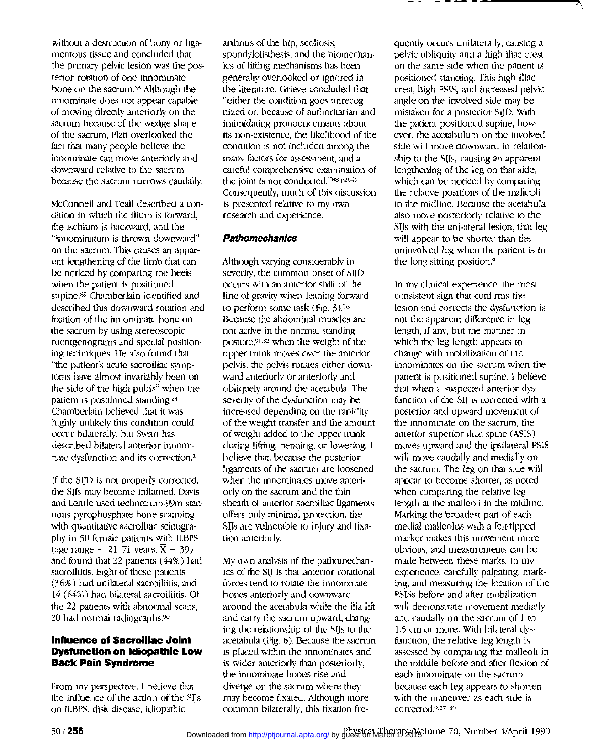without a destruction of bony or ligamentous tissue and concluded that the primary pelvic lesion was the posterior rotation of one innominate bone on the sacrum.<sup>63</sup> Although the innominate does not appear capable of moving directly anteriorly on the sacrum because of the wedge shape of the sacrum, Plan overlooked the fact that many people believe the innominate can move anteriorly and downward relative to the sacrum because the sacrum narrows caudally.

McConnell and Teal1 described a condition in which the ilium is forward, the ischium is backward, and the "innominatum is thrown downward" on the sacrum. This causes an apparent lengthening of the limb that can be noticed by comparing the heels when the patient is positioned supine.<sup>89</sup> Chamberlain identified and described this downward rotation and fixation of the innominate bone on the sacrum by using stereoscopic roentgenograms and special positioning techniques. He also found that "the patient's acute sacroiliac symptoms have almost invariably been on the side of the high pubis" when the patient is positioned standing.24 Chamberlain believed that it was highly unlikely this condition could occur bilaterally, but Swart has described bilateral anterior innominate dysfunction and its correction.27

If the SIJD is not properly corrected, the SIJs may become inflamed. Davis and Lentle used technetium-99m stannous pyrophosphate bone scanning with quantitative sacroiliac scintigraphy in 50 female patients with ILBPS  $(\text{age range} = 21 - 71 \text{ years}, \bar{X} = 39)$ and found that 22 patients (44%) had sacroiliitis. Eight of these patients (36%) had unilateral sacroiliitis, and 14 (64%) had bilateral sacroiliitis. Of the 22 patients with abnormal scans, 20 had normal radiographs.90

# **Influence of Sacroiliac Joint Dysfunction on Idiopathic Low Back Pain Syndrome**

From my perspective, I believe that the influence of the action of the SIJs on ILBPS, disk disease, idiopathic

arthritis of the hip, scoliosis, spondylolisthesis, and the biomechanics of lifting mechanisms has been generally overlooked or ignored in the literature. Grieve concluded that "either the condition goes unrecognized or, because of authoritarian and intimidating pronouncements about its non-existence, the likelihood of the condition is not included among the many factors for assessment, and a careful comprehensive examination of the joint is not conducted."<sup>88(p284)</sup> Consequently, much of this discussion is presented relative to my own research and experience.

# **Pathomechanics**

Although varying considerably in severity, the common onset of SIJD occurs with an anterior shift of the line of gravity when leaning forward to perform some task (Fig. 3).76 Because the abdominal muscles are not active in the normal standing posture.<sup>91,92</sup> when the weight of the upper trunk moves over the anterior pelvis, the pelvis rotates either downward anteriorly or anteriorly and obliquely around the acetabula. The severity of the dysfunction may be increased depending on the rapidity of the weight transfer and the amount of weight added to the upper trunk during lifting, bending, or lowering. I believe that, because the posterior ligaments of the sacrum are loosened when the innominates move anteriorly on the sacrum and the thin sheath of anterior sacroiliac ligaments offers only minimal protection, the SIJs are vulnerable to injury and fixation anteriorly.

My own analysis of the pathomechanics of the SIJ is that anterior rotational forces tend to rotate the innominate bones anteriorly and downward around the acetabula while the ilia lift and carry the sacrum upward, changing the relationship of the SIJs to the acetabula (Fig. 6). Because the sacrum is placed within the innominates and is wider anteriorly than posteriorly, the innominate bones rise and diverge on the sacrum where they may become fixated. Although more common bilaterally, this fixation frequently occurs unilaterally, causing a pelvic obliquity and a high iliac crest on the same side when the patient is positioned standing. This high iliac crest, high PSIS, and increased pelvic angle on the involved side may be mistaken for a posterior SIJD. With the patient positioned supine, however, the acetabulum on the involved side will move downward in relationship to the SIJs, causing an apparent lengthening of the leg on that side, which can be noticed by comparing the relative positions of the malleoli in the midline. Because the acetabula also move posteriorly relative to the SIIs with the unilateral lesion, that leg will appear to be shorter than the uninvolved leg when the patient is in the long-sitting position.9

In my clinical experience, the most consistent sign that confirms the lesion and corrects the dysfunction is not the apparent difference in leg length, if any, but the manner in which the leg length appears to change with mobilization of the innominates on the sacrum when the patient is positioned supine. I believe that when a suspected anterior dysfunction of the SIJ is corrected with a posterior and upward movement of the innominate on the sacrum, the anterior superior iliac spine (ASIS) moves upward and the ipsilateral PSIS will move caudally and medially on the sacrum. The leg on that side will appear to become shorter, as noted when comparing the relative leg length at the malleoli in the midline. Marking the broadest part of each medial malleolus with a felt-tipped marker makes this movement more obvious, and measurements can be made between these marks. In my experience, carefully palpating, marking, and measuring the location of the PSISs before and after mobilization will demonstrate movement medially and caudally on the sacrum of 1 to 1.5 cm or more. With bilateral dysfunction, the relative leg length is assessed by comparing the malleoli in the middle before and after flexion of each innominate on the sacrum because each leg appears to shorten with the maneuver as each side is corrected.9.27-30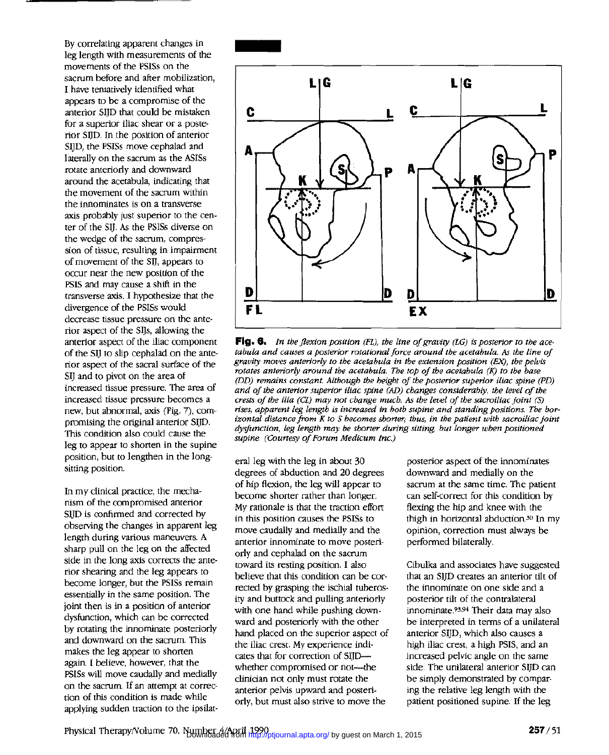By correlating apparent changes in leg length with measurements of the movements of the PSISs on the sacrum before and after mobilization, I have tentatively identified what appears to be a compromise of the anterior SIJD that could be mistaken for a superior iliac shear or a posterior SIJD. In the position of anterior SIID, the PSISs move cephalad and laterally on the sacrum as the ASISs rotate anteriorly and downward around the acetabula, indicating that the movement of the sacrum within the innominates is on a transverse axis probably just superior to the center of the SIJ. **As** the PSISs diverse on the wedge of the sacrum, compression of tissue, resulting in impairment of movement of the SIJ, appears to occur near the new position of the PSIS and may cause a shift in the transverse axis. I hypothesize that the divergence of the PSISs would decrease tissue pressure on the anterior aspect of the SIJs, allowing the anterior aspect of the iliac component of the SIJ to slip cephalad on the anterior aspect of the sacral surface of the SII and to pivot on the area of increased tissue pressure. The area of increased tissue pressure becomes a new, but abnormal, axis (Fig. 7), compromising the original anterior SIJD. This condition also could cause the leg to appear to shorten in the supine position, but to lengthen in the longsitting position.

In my clinical practice, the mechanism of the compromised anterior SIJD is confirmed and corrected by observing the changes in apparent leg length during various maneuvers. A sharp pull on the leg on the affected side in the long axis corrects the anterior shearing and the leg appears to become longer, but the PSISs remain essentially in the same position. The joint then is in a position of anterior dysfunction, which can be corrected by rotating the innominate posteriorly and downward on the sacrum. This makes the leg appear to shorten again. I believe, however, that the PSISs will move caudally and medially on the sacrum. If an attempt at correction of this condition is made while applying sudden traction to the ipsilat-



**Fig. 6.** *In the flexion position (FL), the line of gravity (LG) is posterior to the acetabula and causes a posterior rotational force around the acetabula. As the line of*  gravity moves anteriorly to the acetabula in the extension position (EX), the pelvis rotates anteriorly around the acetabula. The top of the acetabula (K) to the base *(DD) remains constant. Although the height of the posterior superior iliac spine (PD) and of the anterior superior iliac spine (AD) changes considerably, the level of the crests of the ilia* **(CL)** *may not change much. As the level of the sacroiliac joint (S) rises, apparent leg length is increased in both supine and standing positions. The horizontal distance from K to S becomes shorter; thus, in the patient with sacroiliac joint dysfunction, leg length may be shorter during sitting, but longer when positioned supine. (Courtesy of Forum Medicum Inc.)* 

eral leg with the leg in about 30 degrees of abduction and 20 degrees of hip flexion, the leg will appear to become shorter rather than longer. My rationale is that the traction effort in this position causes the PSISs to move caudally and medially and the anterior innominate to move posteriorly and cephalad on the sacrum toward its resting position. I also believe that this condition can be corrected by grasping the ischial tuberosity and buttock and pulling anteriorly with one hand while pushing downward and posteriorly with the other hand placed on the superior aspect of the iliac crest. My experience indicates that for correction of SIJDwhether compromised or not-the clinician not only must rotate the anterior pelvis upward and posteriorly, but must also strive to move the

posterior aspect of the innominates downward and medially on the sacrum at the same time. The patient can self-correct for this condition by flexing the hip and knee with the thigh in horizontal abduction.30 In my opinion, correction must always be performed bilaterally.

Cibulka and associates have suggested that an SIJD creates an anterior tilt of the innominate on one side and a posterior tilt of the contralateral innominate.<sup>93,94</sup> Their data may also be interpreted in terms of a unilateral anterior STJD, which also causes a high iliac crest, a high PSIS, and an increased pelvic angle on the same side. The unilateral anterior SIJD can be simply demonstrated by comparing the relative leg length with the patient positioned supine. If the leg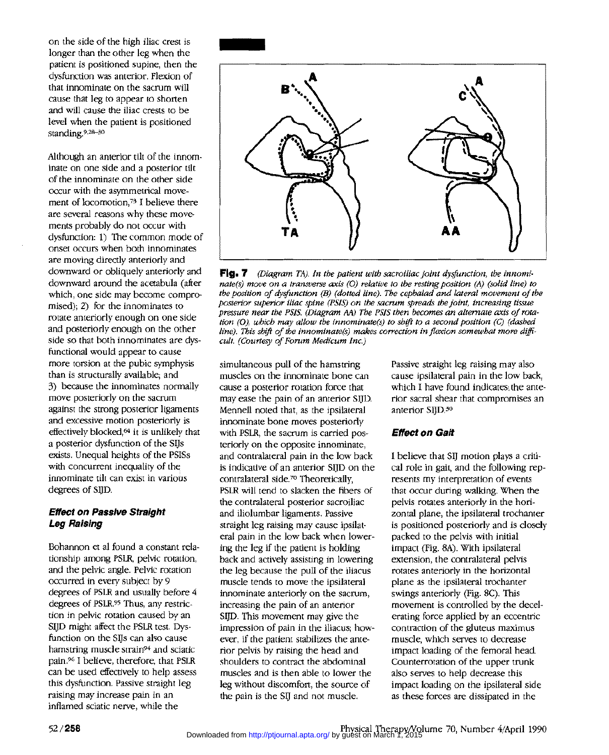on the side of the high iliac crest is longer than the other leg when the patient is positioned supine, then the dysfunction was anterior. Flexion of that innominate on the sacrum will cause that leg to appear to shorten and will cause the iliac crests to be level when the patient is positioned ~tanding.9~2s-30

Although an anterior tilt of the innominate on one side and a posterior tilt of the innominate on the other side occur with the asymmetrical movement of locomotion,<sup>73</sup> I believe there are several reasons why these movements probably do not occur with dysfunction: 1) The common mode of onset occurs when both innominates are moving directly anteriorly and downward or obliquely anteriorly and downward around the acetabula (after which, one side may become compromised); 2) for the innominates to rotate anteriorly enough on one side and posteriorly enough on the other side so that both innominates are dysfunctional would appear to cause more torsion at the pubic symphysis than is structurally available; and **3)** because the innominates normally move posteriorly on the sacrum against the strong posterior ligaments and excessive motion posteriorly is effectively blocked,64 it is unlikely that a posterior dysfunction of the SIJs exists. Unequal heights of the PSISs with concurrent inequality of the innominate tilt can exist in various degrees of SIJD.

# **Effect on Passive Straight Leg Raising**

Bohannon et a1 found a constant relationship among PSLR, pelvic rotation, and the pelvic angle. Pelvic rotation occurred in every subject by 9 degrees of PSLR and usually before 4 degrees of PSLR.95 Thus, any restriction in pelvic rotation caused by an SIJD might affect the PSLR test. Dysfunction on the SIJs can also cause hamstring muscle strain<sup>94</sup> and sciatic pain.<sup>96</sup> I believe, therefore, that PSLR can be used effectively to help assess this dysfunction. Passive straight leg raising may increase pain in an inflamed sciatic nerve, while the



**Fig. 7** *(Diagram TA). In the patient with sacroiliac joint dysfunction, the innominate(s)* move on a transverse axis (O) relative to the resting position (A) (solid line) to *the position of dysfunction (B) (dotted line). The cephalad and lateral movement of the posterior superior iliac spine (PSIS) on the sacrum spreads the joint, increasing tissue pressure near the PSIS. (Diagram* **AA)** *The PSIS then becomes an alternate axis of rotation (O), which may allow the innominate(s) to shift to a second position (C) (dashed*  line). This shift of the innominate(s) makes correction in flexion somewhat more diffi*cult. (Courtesy of Forum Medicum Inc.)* 

simultaneous pull of the hamstring muscles on the innominate bone can cause a posterior rotation force that may ease the pain of an anterior SIJD. Mennell noted that, as the ipsilateral innominate bone moves posteriorly with PSLR, the sacrum is carried posteriorly on the opposite innominate, and contralateral pain in the low back is indicative of an anterior SIJD on the contralateral side.70 Theoretically, PSLR will tend to slacken the fibers of the contralateral posterior sacroiliac and iliolumbar ligaments. Passive straight leg raising may cause ipsilatera1 pain in the low back when lowering the leg if the patient is holding back and actively assisting in lowering the leg because the pull of the iliacus muscle tends to move the ipsilateral innominate anteriorly on the sacrum, increasing the pain of an anterior SIJD. This movement may give the impression of pain in the iliacus; however, if the patient stabilizes the anterior pelvis by raising the head and shoulders to contract the abdominal muscles and is then able to lower the leg without discomfort, the source of the pain is the SIJ and not muscle.

Passive straight leg raising may also cause ipsilateral pain in the low back, which I have found indicates the anterior sacral shear that compromises an anterior SIJD.30

# **Effect on Galt**

I believe that SIJ motion plays a critical role in gait, and the following represents my interpretation of events that occur during walking. When the pelvis rotates anteriorly in the horizontal plane, the ipsilateral trochanter is positioned posteriorly and is closely packed to the pelvis with initial impact (Fig. 8A). With ipsilateral extension, the contralateral pelvis rotates anteriorly in the horizontal plane as the ipsilateral trochanter swings anteriorly (Fig. 8C). This movement is controlled by the decelerating force applied by an eccentric contraction of the gluteus maximus muscle, which serves to decrease impact loading of the femoral head. Counterrotation of the upper trunk also serves to help decrease this impact loading on the ipsilateral side as these forces are dissipated in the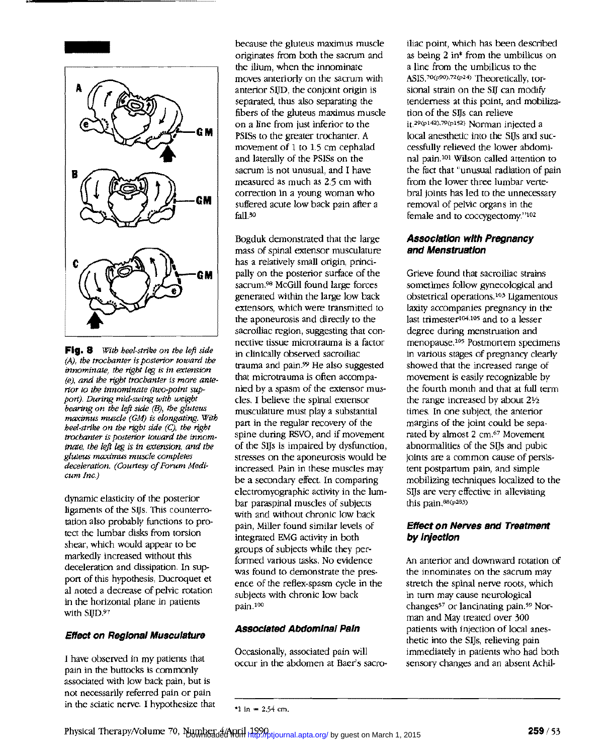

**Fig. 8** *With heel-strike on the lefr side (A), the trochanter is posterior toward the innominate, the nght leg is in extension (e), and the nght tmchanter is more anterior to the innominate (two-point support). During mid-swing with weight bearing on the left side (B), the gluteus muximus muscle (GM) is elongating. With heel-strike on the right side (C), the right tmchanter is posterior toward the innominate, the lefr leg is in extension, and the gluteus maximus muscle completes deceleration. (Courtesy of Forum Medicum Inc.)* 

dynamic elasticity of the posterior ligaments of the SIJs. This counterrotation also probably hnctions to protect the lumbar disks from torsion shear, which would appear to be markedly increased without this deceleration and dissipation. In support of this hypothesis, Ducroquet et al noted a decrease of pelvic rotation in the horizontal plane in patients with SIID.97

#### **Effect on Reglonal Musculature**

I have observed in my patients that pain in the buttocks is commonly associated with low back pain, but is not necessarily referred pain or pain in the sciatic nerve. I hypothesize that because the gluteus maximus muscle originates from both the sacrum and the ilium, when the innominate moves anteriorly on the sacrum with anterior SIJD, the conjoint origin is separated, thus also separating the fibers of the gluteus maximus muscle on a line from just inferior to the PSISs to the greater trochanter. A movement of 1 to 1.5 cm cephalad and laterally of the PSISs on the sacrum is not unusual, and I have measured as much as 2.5 cm with correction in a young woman who suffered acute low back pain after a fal1.30

Bogduk demonstrated that the large mass of spinal extensor musculature has a relatively small origin, principally on the posterior surface of the sacrum.<sup>98</sup> McGill found large forces generated within the large low back extensors, which were transmitted to the aponeurosis and directly to the sacroiliac region, suggesting that connective tissue microtrauma is a factor in clinically observed sacroiliac trauma and pain.9 He also suggested that microtrauma is often accompanied by a spasm of the extensor muscles. I believe the spinal extensor musculature must play a substantial part in the regular recovery of the spine during RSVO, and if movement of the SIJs is impaired by dysfunction, stresses on the aponeurosis would be increased. Pain in these muscles may be a secondary effect. In comparing electromyographic activity in the lumbar paraspinal muscles of subjects with and without chronic low back pain, Miller found similar levels of integrated EMG activity in both groups of subjects while they performed various tasks. No evidence was found to demonstrate the presence of the reflex-spasm cycle in the subjects with chronic low back pain.1o0

# **Associated Abdomlnal Paln**

Occasionally, associated pain will occur in the abdomen at Baer's sacroiliac point, which has been described as being 2 in\* from the umbilicus on a line from the umbilicus to the ASIS.70@90),72@24) Theoretically, torsional strain on the SIJ can modify tenderness at this point, and mobilization of the SIIs can relieve it.29@142)379@152) Norman injected a local anesthetic into the SIJs and successhlly relieved the lower abdominal pain.<sup>101</sup> Wilson called attention to the fact that "unusual radiation of pain from the lower three lumbar vertebral joints has led to the unnecessary removal of pelvic organs in the female and to coccygectomy."<sup>102</sup>

# **Assoclatlon with Pregnancy and Menstruation**

Grieve found that sacroiliac strains sometimes follow gynecological and obstetrical operations.1°3 Ligamentous laxity accompanies pregnancy in the last trimester $104,105$  and to a lesser degree during menstruation and menopause.<sup>105</sup> Postmortem specimens in various stages of pregnancy clearly showed that the increased range of movement is easily recognizable by the fourth month and that at full term the range increased by about 2<sup>1/2</sup> times. In one subject, the anterior margins of the joint could be separated by almost 2 cm.<sup>67</sup> Movement abnormalities of the SIJs and pubic joints are a common cause of persistent postpartum pain, and simple mobilizing techniques localized to the SIJs are very effective in alleviating this pain. $88(p283)$ 

# **Effect on Nerves and Treatment by Injection**

**An** anterior and downward rotation of the innominates on the sacrum may stretch the spinal nerve roots, which in turn may cause neurological changes<sup>57</sup> or lancinating pain.<sup>59</sup> Norman and May treated over 300 patients with injection of local anesthetic into the SIJs, relieving pain immediately in patients who had both sensory changes and an absent Achil-

**<sup>\*1</sup>** in = *2.54* **cm.**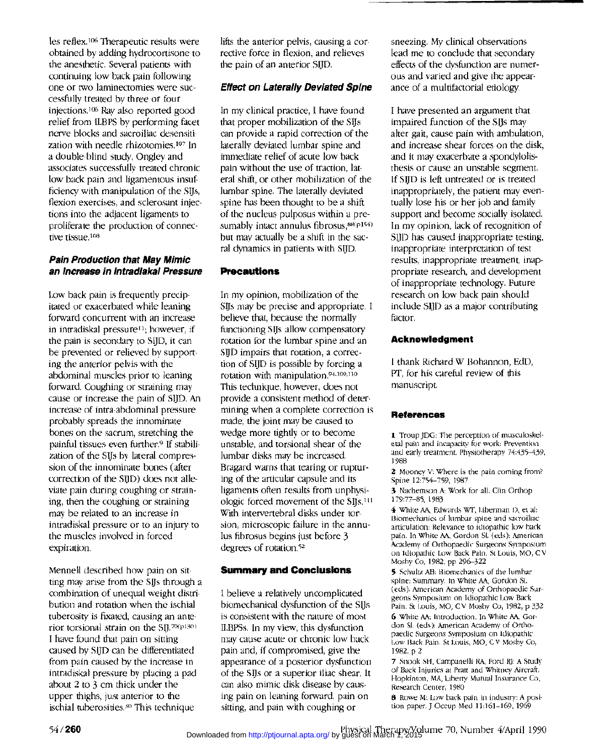les reflex.106 Therapeutic results were obtained by adding hydrocortisone to the anesthetic. Several patients with continuing low back pain following one or two laminectomies were successfully treated by three or four injections.'% Ray also reported good relief from ILBPS by performing facet nerve blocks and sacroiliac desensitization with needle rhizotomies.107 In a double-blind study, Ongley and associates successfully treated chronic low back pain and ligamentous insufficiency with manipulation of the SIJs, flexion exercises, and sclerosant injections into the adjacent ligaments to proliferate the production of connective tissue.<sup>108</sup>

#### **Pain Production that May Mimic an Increase in lntradlskal Pressure**

Low back pain is frequently precipitated or exacerbated while leaning forward concurrent with an increase in intradiskal pressure<sup>11</sup>; however, if the pain is secondary to SIJD, it can be prevented or relieved by supporting the anterior pelvis with the abdominal muscles prior to leaning forward. Coughing or straining may cause or increase the pain of SIJD. **An**  increase of intra-abdominal pressure probably spreads the innominate bones on the sacrum, stretching the painful tissues even further.9 If stabilization of the SIJs by lateral compression of the innominate bones (after correction of the SIJD) does not alleviate pain during coughing or straining, then the coughing or straining may be related to an increase in intradiskal pressure or to an injury to the muscles involved in forced expiration.

Mennell described how pain on sitting may arise from the SIJs through a combination of unequal weight distribution and rotation when the ischial tuberosity is fixated, causing an anterior torsional strain on the SIJ. $\frac{30}{20}$ I have found that pain on sitting caused by SIJD can be diEerentiated from pain caused by the increase in intradiskal pressure by placing a pad about 2 to **3** cm thick under the upper thighs, just anterior to the ischial tuberosities.<sup>50</sup> This technique

lifts the anterior pelvis, causing a corrective force in flexion, and relieves the pain of an anterior SIJD.

# **Effect on Laterally Deviated Splne**

In my clinical practice, I have found that proper mobilization of the SIJs can provide a rapid correction of the laterally deviated lumbar spine and immediate relief of acute low back pain without the use of traction, lateral shift, or other mobilization of the lumbar spine. The laterally deviated spine has been thought to be a shift of the nucleus pulposus within a presumably intact annulus fibrosus, $88(p154)$ but may actually be a shift in the sacral dynamics in patients with SIJD.

# **Precautions**

In my opinion, mobilization of the SIJs may be precise and appropriate. I believe that, because the normally functioning SIJs allow compensatory rotation for the lumbar spine and an SIID impairs that rotation, a correction of SIJD is possible by forcing a rotation with manipulation.94,109,110 This technique, however, does not provide a consistent method of determining when a complete correction is made, the joint may be caused to wedge more tightly or to become unstable, and torsional shear of the lumbar disks may be increased. Bragard warns that tearing or rupturing of the articular capsule and its ligaments often results from unphysiologic forced movement of the SIIs.<sup>111</sup> With intervertebral disks under torsion, microscopic failure in the annulus fibrosus begins just before **3**  degrees of rotation.52

#### **Summary and Conclusions**

I believe a relatively uncomplicated biomechanical dysfunction of the SIJs is consistent with the nature of most ILBPSs. In my view, this dysfunction may cause acute or chronic low back pain and, if compromised, give the appearance of a posterior dysfunction of the SIJs or a superior iliac shear. It can also mimic disk disease by causing pain on leaning forward, pain on sitting, and pain with coughing or

sneezing. My clinical observations lead me to conclude that secondary effects of the dysfunction are numerous and varied and give the appearance of a multifactorial etiology.

I have presented an argument that impaired function of the SIJs may alter gait, cause pain with ambulation, and increase shear forces on the disk, and it may exacerbate a spondylolisthesis or cause an unstable segment. If SIJD is left untreated or is treated inappropriately, the patient may eventually lose his or her job and family support and become socially isolated. In my opinion, lack of recognition of SIJD has caused inappropriate testing, inappropriate interpretation of test results, inappropriate treatment, inappropriate research, and development of inappropriate technology. Future research on low back pain should include SIJD as a major contributing factor.

#### **Acknowledgment**

I thank Richard W Bohannon, EdD, PT, for his careful review of this manuscript.

#### **References**

1 Troup JDG: The perception of musculoskeletal pain and incapacity for work: Prevention and early treatment. Physiotherapy 74:435-439, 1988

2 Mooney V: Where is the pain coming from? Spine 12:754-759, 1987

**3** Nachemson A: Work for all. Clin Orthop 179:77-85, 1983

4 White AA, Edwards WT, Liberman D, et al: Biomechanics of lumbar spine and sacroiliac articulation: Relevance to idiopathic low back pain. In White **AA,** Gordon SL (eds): American Academy of Orthopaedic Surgeons Symposium on ldiopathic Low Back Pain. St Louis, MO, C V Mosby Co, 1982, pp 296-322

5 Schultz AR: Biomechanics of the lumbar spine: Summary. In White AA, Gordon SL (eds): American Academy of Orthopaedic Surgeons Symposium on ldiopathic Low Back Pain. St Louis, MO, CV Mosby Co, 1982, p 332

6 White **AA:** Introduction. In White **AA.** Gordon SL (eds): American Academy of Orthopaedic Surgeons Symposium on ldiopathic Low Dack Pain. St Louis, MO, C V Mosby Co, 1982, p 2

**7** Snook SH, Campanelli **RA,** Ford RJ: A Study of Back Injuries ar Pratt and Whitney Aircraft. Hopkinton, MA, Liberty Mutual Insurance Co, Research Center, 1980

8 Rowe M: Low back pain in industry: A position paper. J Occup Med 11:161-169, 1969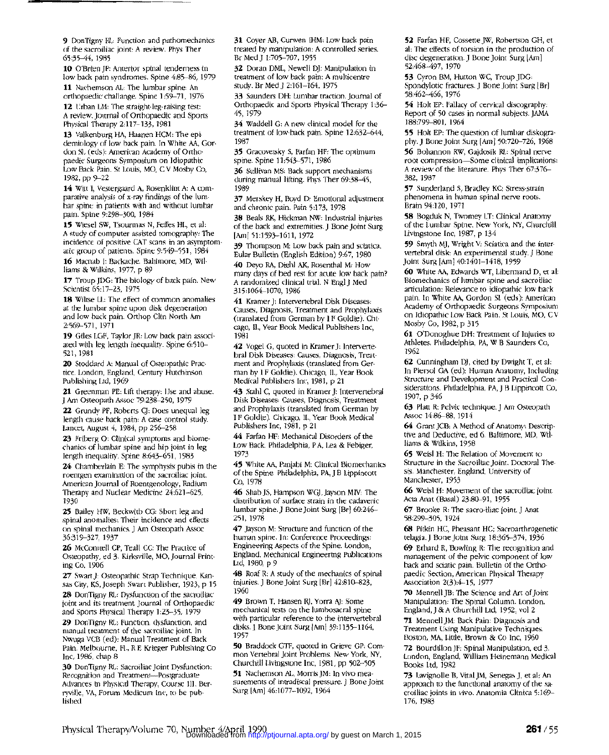**9** DonTigny **RI,:** Function and pathomechanics of the sacroiliac joint: A review. Phys Ther 65:35-44, 1985

**10** O'Brien JP: Anterior spinal tenderness in low back pain syndromes. Spine 4:85-86, 1979

**11** Nachemson **AL:** The lumbar spine: An orthopaedic challange. Spine 1:59-71, 1976 12 Urban LM: The straight-leg-raising test: A review. Journal of Orthopaedic and Sports Physical Therapy 2:117-133, 1981

**13** Valkenburg HA, Haanen HCM: The epidemiology of low back pain. In White AA, Gordon SL (eds): American Academy of Orthopaedic Surgeons Symposium on Idiopathic Low Back Pain. St Louis, MO, C V Mosby Co, 1982, pp 9-22

**14** Witt 1, Vestergaard A, Rosenklint **A:** A comparative analysis of x-ray findings of the lumbar spine in patients with and without lumbar pain. Spine 9:298-300, 1984

**15** Wiesel SW, Tsourmas N, Feffes **HL,** et al: **A** study of computer assisted tomography: The incidence ol' positive CAT scans in an asymptomatic group of patients. Spine 9:549-551, 1984

**16** Macnab I: Backache. Baltimore, MD, Williams & Wilkins, 1977, p 89

17 Troup JDG: The biology of back pain. New Scientist 65: 17-23, 1975

**18** Wiltse **LI.:** The effect of common anomalies at the lumbar spine upon disk degeneration and low back pain. Orthop Clin North Am 2:569571, 1971

19 Giles LGF, Taylor JR: Low back pain associated with leg length inequality. Spine 6:510-521, 1981

**20** Stoddard A: Manual of Osteopathic Practice. London, England, Century Hutchinson Publishing I.td, 1969

**21** Greenman PE: Lift therapy: Use and abuse. J Am Osteopath Assoc 79:238-250, 1979

**22** Grundy PF, Roberts CJ: Does unequal leg length cause back pain: A case control study. Lancet, August 4, 1984, pp 256-258

**23** Friberg 0: Clinical symptoms and biomechanics of lumbar spine and hip joint in leg length inequality. Spine 8:643-651, 1983

**24** Chamberlain E: The symphysis pubis in the roentgen examination of the sacroiliac joint. American Journal of Roentgenology, Radium Therapy and Nuclear Medicine 24:621-625, 1930

**25** Bailey **HW,** Beckwith CG: Short leg and spinal anomalies: Their incidence and effects on spinal mechanics. J Am Osteopath Assoc 36:313-327. 1937

**26** McConriell CP, Teall CC: The Practice of Osteopathy, ed 3. Kirksville, MO, Journal Printing Co, 1906

**27** Swart J: Osteopathic Strap Technique. Kansas City, KS, Joseph Swart Publisher, 1923, p 15 **28** DonTigny **RL:** Dysfunction of the sacroiliac joint and its treatment. Journal of Orthopaedic and Sports Physical Therapy 1:23-35, 1979

**29** DonTigny RL: Function, dysfunction, and manual treatment of the sacroiliac joint. In Nwuga VCIl (ed): Manual Treatment of Back Pain. Melbourne, FL, RE Krieger Publishing Co Inc, 1986, chap 8

**30** DonTipny KL: Sacroiliac Joint Dysfunction: Recognition and Treatment-Postgraduate Advances in Physical Therapy, Course 111. Berryville, VA, Forum Medicum Inc, to be published

**31** Coyer **AB,** Curwen IHM: Low back pain treated by manipulation: A controlled series. Br Med J 1:705-707, 1955

**32** Doran DML, Newell DJ: Manipulation in treatment of low back pain: A multicentre study. Br Med J 2:161-164, 1975

**33** Saunders DH: Lumbar traction. Journal of Orthopaedic and Sports Physical Therapy 1:36- 45,1979

**34** Waddell G: A new clinical model for the treatment of low-back pain. Spine 12:632-644, 1987

**35** Gracovetsky S, Farfan HF: The optimum spine. Spine 11:543-571, 1986

**36** Sullivan MS: Back support mechanisms during manual lifting. Phys Ther 69:38-45, 1989

**37** Merskey H, Boyd D: Emotional adjustment and chronic pain. Pain 5:173, 1978

**38** Beals RK, Hickman NW: Industrial injuries of the back and extremities. J Bone Joint Surg [Am] 51:1593-1611, 1972

**39** Thompson M: Low back pain and sciatica. Eular Bulletin (English Edition) 967, 1980

**40** Deyo **RA,** Diehl **AK,** Rosenthal M: How many days of bed rest for acute low back pain? **A** randomized clinical trial. N Engl J Med 315:1064-1070, 1986

**41** Kramer J: Intervertebral Disk Diseases: Causes, Diagnosis, Treatment and Prophylaxis (translated from German by 1 F Goldie). Chicago, IL, Year Book Medical Publishers Inc, 1981

**42** Vogel G, quoted in Kramer J: Intervertebra1 Disk Diseases: Causes, Diagnosis, Treatment and Prophylaxis (translated from German by 1 F Goldie). Chicago, IL, Year Book Medical Publishers Inc, 1981, p 21

**43** Stahl C, quoted in Kramer J: Intervertebral Disk Diseases: Causes, Diagnosis, Treatment and Prophylaxis (translated from German by 1 F Goldie). Chicago, IL, Year Book Medical Publishers Inc, 1981, p 21

44 Farfan HF: Mechanical Disorders of the Low Back. Philadelphia, PA, Lea & Febiger, 1973

**45** White **AA,** Panjabi M: Clinical Biomechanics of the Spine. Philadelphia, PA, J B Lippincott Co, 1978

**46** Shah JS, Hampson WGJ, Jayson MN The distribution of surface strain in the cadaveric lumbar spine. J Bone Joint Surg [Br] 60:246 251, 1978

**47** Jayson M: Structure and function of the human spine. In: Conference Proceedings: Engineering Aspects of the Spine. London, England, Mechanical Engineering Publications Ltd, 1980, p 9

**48** Roaf R: A study of the mechanics of spinal injuries. J Bone Joint Surg  $[Br]$   $42:810-823$ , 1960

**49** Brown T, Hansen RJ, Yorra AJ: Some mechanical tests on the lumbosacral spine with particular reference to the intervertebral disks. J Bone Joint Surg [Am] 39:1135-1164, 1957

**50** Braddock GTF, quoted in Grieve GP: Common Vertebral Joint Problems. New York, **NY,**  Churchill Livingstone Inc, 1981, pp 502-505 **51** Nachemson **AL,** Morris JM: In vivo measurements of intradiscal pressure. J Bone Joint Surg [Am] 46:1077-1092, 1964

**<sup>52</sup>**Farfan HF, Cossette JW, Robertson GH, et al: The effects of torsion in the production of disc degeneration. J Bone Joint Surg [Am] 52:468-497, 1970

**53** Cyron BM, Hutton WC, Troup JDG: Spondylotic fractures. J Bone Joint Surg [Br] 58:462-466, 1976

**54** Holt EP: Fallacy of cervical discography: Report of 50 cases in normal subjects. JAMA 188:799-801, 1964

**55** Holt EP: The question of lumbar diskography. J Bone Joint Surg [Am] 50:720-726, 1968 **56** Bohannon RW, Gajdosik RL: Spinal nerve root compression-Some clinical implications: A review of the literature. Phys Ther 67:376-382, 1987

**57** Sunderland S, Bradley KC: Stress-strain phenomena in human spinal nerve roots. Brain 94:120, 1971

**58** Bogduk N, Twomey LT: Clinical Anatomy of the Lumbar Spine. New York, NY, Churchill Livingstone Inc, 1987, **p** 134

**59** Smyth MJ, Wright V: Sciatica and the intervertebral disk: An experimental study. J Bone Joint Surg [Am] 40:1401-1418, 1959

60 White AA, Edwards WT, Libermand D, et al: Biomechanics of lumbar spine and sacroiliac articulation: Relevance to idiopathic low back pain. In White **AA,** Gordon SL (eds): American Academy of Orthopaedic Surgeons Symposium on Idiopathic Low Back Pain. St Louis, MO, CV Mosby Co, 1982, p 315

**61** O'Donoghue DH: Treatment of Injuries to Athletes. Philadelphia, PA, W B Saunders Co, 1962

**62** Cunningham DJ, cited by Dwight T, et al: In Piersol GA (ed): Human Anatomy, Including Structure and Development and Practical Considerations. Philadelphia, PA, J B Lippincott Co, 1907, p 346

**63** Plan R: Pelvic technique. J Am Osteopath Assoc 14:86-88, 1914

*64* Grant JCB: A Method of Anatomy: Descriptive and Deductive, ed 6. Baltimore, MD, Williams & Wilkins, 1958

**65** Weisl H: The Relation of Movement to Structure in the Sacroiliac Joint. Doctoral Thesis. Manchester, England, University of Manchester, 1953

*66* Weisl H: Movement of the sacroiliac joint. Acta Anat (Basal) 23:80-91, 1955

**67** Brooke R: The sacro-iliac joint. J Anat 58:299305, 1924

**68** Pitkin HC, Pheasant HC; Sacroarthrogenetic telagia. J Bone Joint Surg 18:36%374, 1936

**69** Erhard R, Bowling R: The recognition and management of the pelvic component of low back and sciatic pain. Bulletin of the Orthopaedic Section, American Physical Therapy Association 2(3):415, 1977

**70** Mennell JB: The Science and Art of Joint Manipulation: The Spinal Column. London, England, J &A Churchill Ltd, 1952, vol 2

**71** Mennell JM: Back Pain: Diagnosis and Treatment Using Manipulative Techniques. Boston, MA, Little, Brown & Co Inc, 1960

**72** Bourdillon JF: Spinal Manipulation, ed 3. London, England, William Heinemann Medical Books Ltd, 1982

**73** Lavignolle B, Vital JM, Senegas J, et al: An approach to the functional anatomy of the sacroiliac joints in vivo. Anatomia Clinica 5:169 176, 1983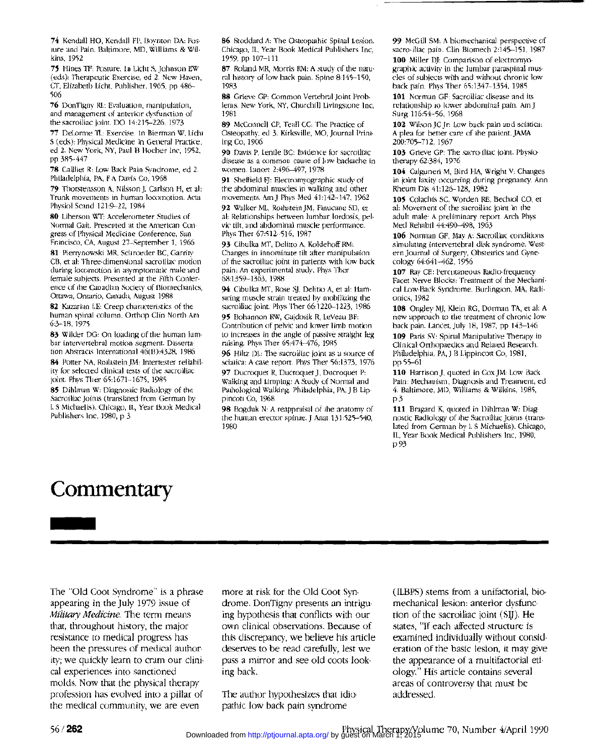**74** Kendall HO, Kendall FP, Boynton DA: Posture and Pain. Baltimore, MD, Williams & Wilkins, 1952

**75** Hines **TF:** Posture. In Licht S, Johnson EW (eds): Therapeutic Exercise, ed 2. New Haven, CT, Elizabeth Licht, Publisher, 1965, pp 486- 506

**76** DonTigny RL: Evaluation, manipulation, and management of anterior dysfunction of the sacroiliac joint. DO 14:215-226. 1973

**77** DeLorme **Tl.:** Exercise. In Bierman W, Licht S (eds): Physical Medicine in General Practice, ed 2. New York, NY, Paul 13 Hoeber Inc, 1952, pp 385-447

78 Cailliet R: Low Back Pain Syndrome, ed 2. Philadelphia, PA, FA Davis Co, 1968

**79** Thorstensson A, Nilsson J, Carlson H, et al: Trunk movements in human locomotion. Acra Physiol Scand 121:9-22, 1984

80 Liberson WT: Accelerometer Studies of Normal Gait. Presented at the American Congress of Physical Medicine Conference. San Francisco, **CA,** August 27-September 1, 1966

**81** Pierrynowski MR, Schroeder BC, Garrity CB, et al: Three-dimensional sacroiliac motion during locomotion in asymptomatic male and female subjects. Presented at the Fifth Conference of the Canadian Society of I3iomechanics, Ottawa, Ontario, Canada, August 1988

**82** Kazarian 1.E: Creep characteristics of the human spinal column. Orthop Clin North Am 6:3-18, 1975

**83** Wilder DG: On loading of the human lumbar intervertebral motion segment. Dissertation Abstracts International 46(B):4328, 1986

84 Potter NA, Kothstein JM: lntertester reliability for selected clinical tests of the sacroiliac joint. Phys Ther 65:1671-1675, 1985

**85** Dihlman W: Diagnostic Radiology of the Sacroiliac Joints (translated from German by L S Michaelis). Chicago, IL, Year Book Medical Publishers Inc, 1980, p 3 Sacroiliac Joinis (translated from German<br>L.S Michaelis). Chicago, Il., Year Book M<br>Publishers Inc., 1980, p. 3<br>**COMMENTARY** 

**86** Stoddard A: The Osteopathic Spinal Lesion. Chicago, IL, Year Book Medical Publishers Inc, 1959, pp 107-111

**87** Roland MR, Morris RM: A study of the natural history of low back pain. Spine 8:145-150, 1983

**88** Grieve GP: Common Vertebral Joint Problems. New York, **NY,** Churchill Livingstone Inc, 1981

**89** McConnell CP, Teall CC: The Practice of Osteopathy, ed 3. Kirksville, MO, Journal Printing Co, 1906

**90** Davis P, Lentle BC: Evidence for sacroiliac disease as a common cause of low backache in women. Lancet 2:496-497, 1978

**91** Sheffield **FJ:** Electromyographic study of the abdominal muscles in walking and other movements. Am J Phys Med 41:142-147, 1962 **92** Walker ML, Rothstein JM, Finucane SD, et al: Relationships berween lumbar lordosis, pelvic tilt, and abdominal muscle performance. Phys Ther 67:512-516, 1987

**93** Cibulka MT, Delitto A, Koldehoff RM: Changes in innominate tilt after manipulation of the sacroiliac joint in patients with low back pain: An experimental study. Phys Ther 68:1359-1363, 1988

94 Cibulka MT, Rose SJ, Delitio A, et al: Hamstring muscle strain treated by mobilizing the sacroiliac joint. Phys Ther 66:1220-1223, 1986

**95** Bohannon KW, Gajdosik R, LeVeau BF: Contribution of pelvic and lower limb motion to increases in the angle of passive straight leg raising. Phys Ther 65:474-476, 1985

**96** Hiltz DL: The sacroiliac joint as a source of sciatica: A case report. Phys Ther 56:1373, 1976

**97** Ducroquet R, Ducroquet J, Ducroquet P: Walking and Limping: A Study of Normal and Pathological Walking. Philadelphia, PA. J B Lippincott Co, 1368

**98** Bogduk N: A reappraisal of the anatomy of the human erector spinae. J Anat 131 525-540, 1980

**99** McGill SM: A biomechanical perspective of sacro-iliac pain. Clin Biomech 2:145-151, 1987 **100** Miller DJ: Comparison of electromyographic activity in the lumbar paraspinal muscles of subjects with and without chronic low back pain. Phys Ther 65:1347-1354, 1985

**101** Norman GF: Sacroiliac disease and its relationship to lower abdominal pain. **Am** J Surg 116:54-56, 1968

**102** Wilson JC Jr: Low back pain and sciatica: A plea for better care of the patient. JAMA 200:705712, 1967

**103** Grieve GP: The sacro-iliac joint. Physiotherapy 62384, 1976

**104** Calguneri M, Bird HA, Wright V: Changes in joint laxity occurring during pregnancy. Ann Rheum Dis 41:12&128, 1982

105 Colachis SC, Worden RE, Bechtol CO, et al: Movement of the sacroiliac joint in the adult male: A preliminary report. Arch Phys Med Rehabil 44:490-498, 1963

**106** Norman GF, May **A:** Sacroiliac condirions simulating intervertebral disk syndrome. Western Journal of Surgery, Obsteirics and Gynecology 64:641-462, 1956

**107** Ray CE: Percutaneous Radio-frequency Facet Nerve Blocks: Treatment of the Mechanical Low-Back Syndrome. Burlington, MA, Radionics, 1982

**108** Ongley MJ, Hein RG, Dorman TA, et al: A new approach to the treatment of chronic low back pain. Lancet, July 18, 1987, pp 145-146

**109** Paris SV: Spinal Manipulative Therapy in Clinical Orthopaedics and Related Research. Philadelphia, PA, J B Lippincotr Co, 1981, PP 55-61

**110** Harrison J, quoted in Cox JM: Low Back Pain: Mechanism, Diagnosis and Trearment, ed 4. Baltimore, MD, Williams & Wilkins, 1985, P 3

111 Bragard K, quoted in Dihlman W: Diagnostic Radiology of the Sacroiliac Joinrs (translated from German by L S Michaelis). Chicago, IL, Year Book Medical Publishers Inc, 1980, P 93

The "Old Coot Syndrome" is a phrase appearing in the July 1979 issue of *Military Medicine*. The term means that, throughout history, the major resistance to medical progress has been the pressures of medical authority; we quickly learn to cram our clinical experiences into sanctioned molds. Now that the physical therapy profession has evolved into a pillar of the medical community, we are even

more at risk for the Old Coot Syndrome. DonTigny presents an intriguing hypothesis that conflicts with our own clinical observations. Because of this discrepancy, we believe his article deserves to be read carefully, lest we pass a mirror and see old coots looking back.

The author hypothesizes that idiopathic low back pain syndrome

(ILBPS) stems from a unifactorial, biomechanical lesion: anterior dysfunction of the sacroiliac joint (SIJ). He states, "If each affected structure is examined individually without consideration of the basic lesion, it may give the appearance of a multifactorial etiology." His article contains several areas of controversy that must be addressed.